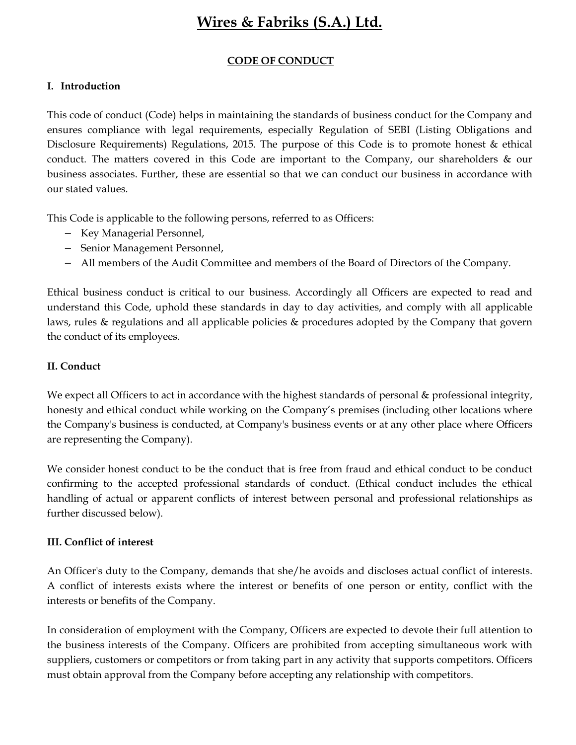# Wires & Fabriks (S.A.) Ltd.

## CODE OF CONDUCT

## I. Introduction

This code of conduct (Code) helps in maintaining the standards of business conduct for the Company and ensures compliance with legal requirements, especially Regulation of SEBI (Listing Obligations and Disclosure Requirements) Regulations, 2015. The purpose of this Code is to promote honest & ethical conduct. The matters covered in this Code are important to the Company, our shareholders & our business associates. Further, these are essential so that we can conduct our business in accordance with our stated values.

This Code is applicable to the following persons, referred to as Officers:

- − Key Managerial Personnel,
- − Senior Management Personnel,
- − All members of the Audit Committee and members of the Board of Directors of the Company.

Ethical business conduct is critical to our business. Accordingly all Officers are expected to read and understand this Code, uphold these standards in day to day activities, and comply with all applicable laws, rules & regulations and all applicable policies & procedures adopted by the Company that govern the conduct of its employees.

## II. Conduct

We expect all Officers to act in accordance with the highest standards of personal  $\&$  professional integrity, honesty and ethical conduct while working on the Company's premises (including other locations where the Company's business is conducted, at Company's business events or at any other place where Officers are representing the Company).

We consider honest conduct to be the conduct that is free from fraud and ethical conduct to be conduct confirming to the accepted professional standards of conduct. (Ethical conduct includes the ethical handling of actual or apparent conflicts of interest between personal and professional relationships as further discussed below).

### III. Conflict of interest

An Officer's duty to the Company, demands that she/he avoids and discloses actual conflict of interests. A conflict of interests exists where the interest or benefits of one person or entity, conflict with the interests or benefits of the Company.

In consideration of employment with the Company, Officers are expected to devote their full attention to the business interests of the Company. Officers are prohibited from accepting simultaneous work with suppliers, customers or competitors or from taking part in any activity that supports competitors. Officers must obtain approval from the Company before accepting any relationship with competitors.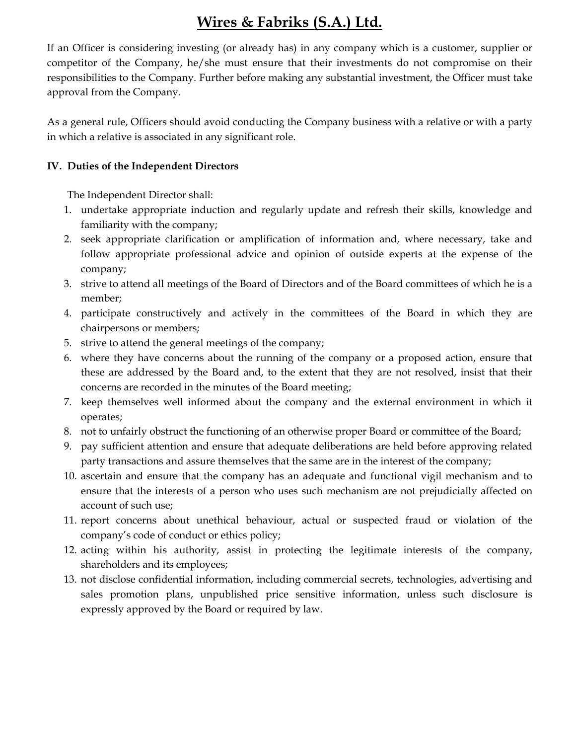# Wires & Fabriks (S.A.) Ltd.

 If an Officer is considering investing (or already has) in any company which is a customer, supplier or competitor of the Company, he/she must ensure that their investments do not compromise on their responsibilities to the Company. Further before making any substantial investment, the Officer must take approval from the Company.

As a general rule, Officers should avoid conducting the Company business with a relative or with a party in which a relative is associated in any significant role.

## IV. Duties of the Independent Directors

The Independent Director shall:

- 1. undertake appropriate induction and regularly update and refresh their skills, knowledge and familiarity with the company;
- 2. seek appropriate clarification or amplification of information and, where necessary, take and follow appropriate professional advice and opinion of outside experts at the expense of the company;
- 3. strive to attend all meetings of the Board of Directors and of the Board committees of which he is a member;
- 4. participate constructively and actively in the committees of the Board in which they are chairpersons or members;
- 5. strive to attend the general meetings of the company;
- 6. where they have concerns about the running of the company or a proposed action, ensure that these are addressed by the Board and, to the extent that they are not resolved, insist that their concerns are recorded in the minutes of the Board meeting;
- 7. keep themselves well informed about the company and the external environment in which it operates;
- 8. not to unfairly obstruct the functioning of an otherwise proper Board or committee of the Board;
- 9. pay sufficient attention and ensure that adequate deliberations are held before approving related party transactions and assure themselves that the same are in the interest of the company;
- 10. ascertain and ensure that the company has an adequate and functional vigil mechanism and to ensure that the interests of a person who uses such mechanism are not prejudicially affected on account of such use;
- 11. report concerns about unethical behaviour, actual or suspected fraud or violation of the company's code of conduct or ethics policy;
- 12. acting within his authority, assist in protecting the legitimate interests of the company, shareholders and its employees;
- 13. not disclose confidential information, including commercial secrets, technologies, advertising and sales promotion plans, unpublished price sensitive information, unless such disclosure is expressly approved by the Board or required by law.